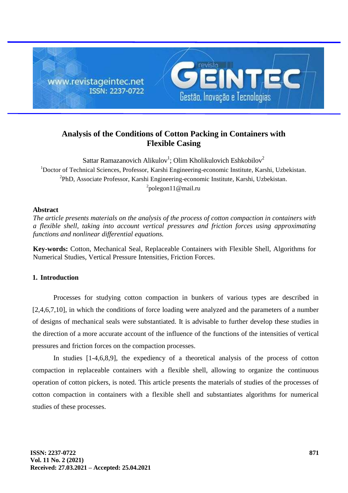

# **Analysis of the Conditions of Cotton Packing in Containers with Flexible Casing**

Sattar Ramazanovich Alikulov<sup>1</sup>; Olim Kholikulovich Eshkobilov<sup>2</sup> <sup>1</sup>Doctor of Technical Sciences, Professor, Karshi Engineering-economic Institute, Karshi, Uzbekistan. <sup>2</sup>PhD, Associate Professor, Karshi Engineering-economic Institute, Karshi, Uzbekistan.  $^{2}$ [polegon11@mail.ru](mailto:2polegon11@mail.ru)

## **Abstract**

*The article presents materials on the analysis of the process of cotton compaction in containers with a flexible shell, taking into account vertical pressures and friction forces using approximating functions and nonlinear differential equations.*

**Key-words:** Cotton, Mechanical Seal, Replaceable Containers with Flexible Shell, Algorithms for Numerical Studies, Vertical Pressure Intensities, Friction Forces.

# **1. Introduction**

Processes for studying cotton compaction in bunkers of various types are described in [2,4,6,7,10], in which the conditions of force loading were analyzed and the parameters of a number of designs of mechanical seals were substantiated. It is advisable to further develop these studies in the direction of a more accurate account of the influence of the functions of the intensities of vertical pressures and friction forces on the compaction processes.

In studies [1-4,6,8,9], the expediency of a theoretical analysis of the process of cotton compaction in replaceable containers with a flexible shell, allowing to organize the continuous operation of cotton pickers, is noted. This article presents the materials of studies of the processes of cotton compaction in containers with a flexible shell and substantiates algorithms for numerical studies of these processes.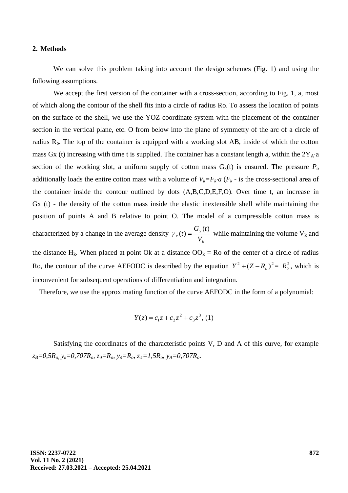#### **2. Methods**

We can solve this problem taking into account the design schemes (Fig. 1) and using the following assumptions.

We accept the first version of the container with a cross-section, according to Fig. 1, a, most of which along the contour of the shell fits into a circle of radius Ro. To assess the location of points on the surface of the shell, we use the YOZ coordinate system with the placement of the container section in the vertical plane, etc. O from below into the plane of symmetry of the arc of a circle of radius  $R<sub>o</sub>$ . The top of the container is equipped with a working slot AB, inside of which the cotton mass Gx (t) increasing with time t is supplied. The container has a constant length a, within the  $2Y_A \cdot a$ section of the working slot, a uniform supply of cotton mass  $G_x(t)$  is ensured. The pressure  $P_o$ additionally loads the entire cotton mass with a volume of  $V_k = F_k a$  ( $F_k$  - is the cross-sectional area of the container inside the contour outlined by dots (A,B,C,D,E,F,O). Over time t, an increase in Gx (t) - the density of the cotton mass inside the elastic inextensible shell while maintaining the position of points A and B relative to point O. The model of a compressible cotton mass is characterized by a change in the average density *k x*  $V^{(l)}$ <sup>-</sup> *V*  $G_{r}(t)$ *t*  $(t)$  $\gamma_{x}(t) = \frac{\sum_{x}^{t} V_{x}}{V_{x}}$  while maintaining the volume V<sub>k</sub> and

the distance H<sub>k</sub>. When placed at point Ok at a distance  $OO_k = Ro$  of the center of a circle of radius Ro, the contour of the curve AEFODC is described by the equation  $Y^2 + (Z - R_o)^2 = R_o^2$ , which is inconvenient for subsequent operations of differentiation and integration.

Therefore, we use the approximating function of the curve AEFODC in the form of a polynomial:

$$
Y(z) = c_1 z + c_2 z^2 + c_3 z^3, (1)
$$

Satisfying the coordinates of the characteristic points V, D and A of this curve, for example  $z_B=0.5R_o$ ,  $y_e=0.707R_o$ ,  $z_{\partial}=R_o$ ,  $y_{\partial}=R_o$ ,  $z_A=1.5R_o$ ,  $y_A=0.707R_o$ .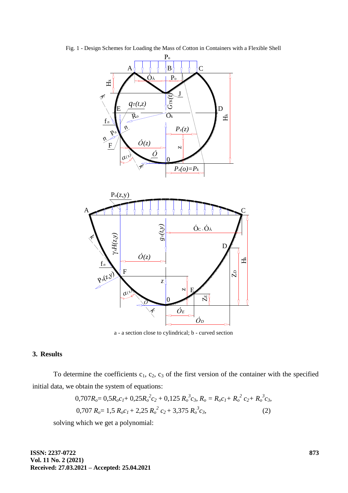

Fig. 1 - Design Schemes for Loading the Mass of Cotton in Containers with a Flexible Shell

a - a section close to cylindrical; b - curved section

### **3. Results**

To determine the coefficients  $c_1$ ,  $c_2$ ,  $c_3$  of the first version of the container with the specified initial data, we obtain the system of equations:

$$
0,707R_o = 0,5R_o c_I + 0,25R_o^2 c_2 + 0,125 R_o^3 c_3, R_o = R_o c_I + R_o^2 c_2 + R_o^3 c_3,
$$
  
0,707 R\_o = 1,5 R\_o c\_I + 2,25 R\_o^2 c\_2 + 3,375 R\_o^3 c\_3, (2)

solving which we get a polynomial:

**ISSN: 2237-0722 Vol. 11 No. 2 (2021) Received: 27.03.2021 – Accepted: 25.04.2021**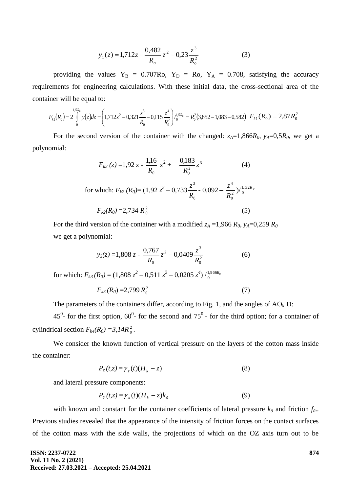$$
y_1(z) = 1,712z - \frac{0,482}{R_o}z^2 - 0,23\frac{z^3}{R_o^2}
$$
 (3)

providing the values  $Y_B = 0.707Ro$ ,  $Y_D = Ro$ ,  $Y_A = 0.708$ , satisfying the accuracy requirements for engineering calculations. With these initial data, the cross-sectional area of the container will be equal to:

$$
F_{k1}(R_0) = 2\int_0^{1.5R_0} y(z)dz = \left(1,712z^2 - 0,321\frac{z^3}{R_0} - 0,115\frac{z^4}{R_0^2}\right)/\frac{1.5R_0}{R_0} = R_0^2(3,852 - 1,083 - 0,582) \ F_{k1}(R_0) = 2,87R_0^2
$$

For the second version of the container with the changed:  $z_A=1,866R_0$ ,  $y_A=0,5R_0$ , we get a polynomial:

$$
F_{k2}(z) = 1,92 z - \frac{1,16}{R_0} z^2 + \frac{0,183}{R_0^2} z^3
$$
 (4)  
for which:  $F_{k2}(R_0) = (1,92 z^2 - 0,733 \frac{z^3}{R_0} - 0,092 - \frac{z^4}{R_0^2})/_{0}^{1,32R_0}$   
 $F_{k2}(R_0) = 2,734 R_0^2$  (5)

For the third version of the container with a modified  $z_A = 1,966 R_0$ ,  $y_A = 0,259 R_0$ we get a polynomial:

$$
y_3(z) = 1,808 \ z - \frac{0,767}{R_0} z^2 - 0,0409 \frac{z^3}{R_0^2}
$$
 (6)

for which:  $F_{k3}(R_0) = (1,808 \ z^2 - 0,511 \ z^3 - 0,0205 \ z^4) / \frac{1,966R_0}{0}$ *R*

$$
F_{k3}(R_0) = 2{,}799 R_0^2 \tag{7}
$$

The parameters of the containers differ, according to Fig. 1, and the angles of  $AO_k D$ :

45<sup>0</sup>- for the first option,  $60^0$ - for the second and  $75^0$  - for the third option; for a container of cylindrical section  $F_{k4}(R_0) = 3.14R_0^2$ 0 *.*

We consider the known function of vertical pressure on the layers of the cotton mass inside the container:

$$
P_z(t,z) = \gamma_z(t)(H_k - z) \tag{8}
$$

and lateral pressure components:

$$
P_{y}(t,z) = \gamma_{x}(t)(H_{k} - z)k_{\delta}
$$
\n(9)

with known and constant for the container coefficients of lateral pressure  $k_{\delta}$  and friction  $f_{\delta}$ . Previous studies revealed that the appearance of the intensity of friction forces on the contact surfaces of the cotton mass with the side walls, the projections of which on the OZ axis turn out to be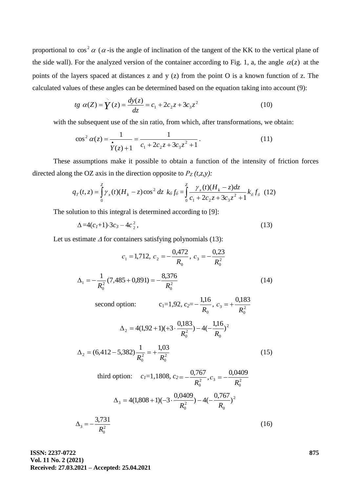proportional to  $\cos^2 \alpha$  ( $\alpha$ -is the angle of inclination of the tangent of the KK to the vertical plane of the side wall). For the analyzed version of the container according to Fig. 1, a, the angle  $\alpha(z)$  at the points of the layers spaced at distances z and y (z) from the point O is a known function of z. The calculated values of these angles can be determined based on the equation taking into account (9):

*t*g 
$$
\alpha(Z) = \dot{Y}(z) = \frac{dy(z)}{dz} = c_1 + 2c_2z + 3c_3z^2
$$
 (10)

with the subsequent use of the sin ratio, from which, after transformations, we obtain:

$$
\cos^2 \alpha(z) = \frac{1}{\dot{r}(z) + 1} = \frac{1}{c_1 + 2c_2 z + 3c_3 z^2 + 1}.
$$
 (11)

These assumptions make it possible to obtain a function of the intensity of friction forces directed along the OZ axis in the direction opposite to  $P_Z(t,z,y)$ :

$$
q_T(t,z) = \int_0^z \gamma_x(t) (H_k - z) \cos^2 \, dz \, k_0 f_0 = \int_0^z \frac{\gamma_x(t) (H_k - z) dz}{c_1 + 2c_2 z + 3c_3 z^2 + 1} k_0 f_0 \tag{12}
$$

The solution to this integral is determined according to [9]:

$$
\Delta = 4(c_1 + 1) \cdot 3c_3 - 4c_2^2, \tag{13}
$$

Let us estimate  $\Delta$  for containers satisfying polynomials (13):

$$
c_1 = 1,712, \ c_2 = -\frac{0,472}{R_0}, \ c_3 = -\frac{0,23}{R_0^2}
$$

$$
\Delta_1 = -\frac{1}{R_0^2}(7,485 + 0,891) = -\frac{8,376}{R_0^2}
$$
(14)

second option: 
$$
c_1=1,92
$$
,  $c_2=-\frac{1,16}{R_0}$ ,  $c_3 = +\frac{0,183}{R_0^2}$   

$$
\Delta_2 = 4(1,92+1)(+3\cdot\frac{0,183}{R_0^2}) - 4(-\frac{1,16}{R_0})^2
$$

$$
\Delta_2 = (6,412 - 5,382)\frac{1}{R_0^2} = +\frac{1,03}{R_0^2}
$$
\n(15)

third option: 
$$
c_1=1,1808
$$
,  $c_2 = -\frac{0,767}{R_0^2}$ ,  $c_3 = -\frac{0,0409}{R_0^2}$   
\n
$$
\Delta_3 = 4(1,808+1)(-3 \cdot \frac{0,0409}{R_0^2}) - 4(-\frac{0,767}{R_0})^2
$$
\n
$$
\Delta_3 = -\frac{3,731}{R_0^2}
$$
\n(16)

**ISSN: 2237-0722 Vol. 11 No. 2 (2021) Received: 27.03.2021 – Accepted: 25.04.2021**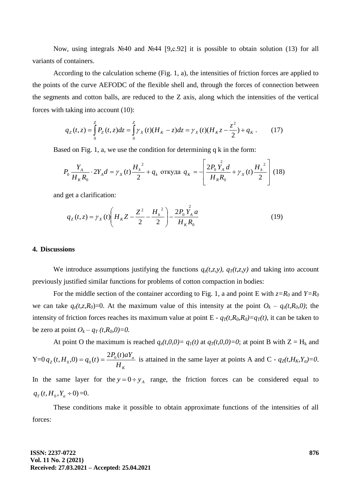Now, using integrals №40 and №44 [9,с.92] it is possible to obtain solution (13) for all variants of containers.

According to the calculation scheme (Fig. 1, a), the intensities of friction forces are applied to the points of the curve AEFODC of the flexible shell and, through the forces of connection between the segments and cotton balls, are reduced to the Z axis, along which the intensities of the vertical forces with taking into account (10):

$$
q_Z(t, z) = \int_0^z P_Z(t, z) dz = \int_0^z \gamma_X(t) (H_K - z) dz = \gamma_X(t) (H_K z - \frac{z^2}{2}) + q_K.
$$
 (17)

Based on Fig. 1, a, we use the condition for determining q k in the form:

$$
P_0 \frac{Y_A}{H_K R_0} \cdot 2Y_A d = \gamma_X(t) \frac{{H_k}^2}{2} + q_k \text{ or } x \text{ y}
$$

and get a clarification:

$$
q_Z(t, z) = \gamma_X(t) \left( H_K Z - \frac{Z^2}{2} - \frac{H_k^2}{2} \right) - \frac{2P_0 Y_A a}{H_K R_0}
$$
(19)

### **4. Discussions**

We introduce assumptions justifying the functions  $q_z(t,z,y)$ ,  $q_T(t,z,y)$  and taking into account previously justified similar functions for problems of cotton compaction in bodies:

For the middle section of the container according to Fig. 1, a and point E with  $z=R_0$  and  $Y=R_0$ we can take  $q_z(t, z, R_0) = 0$ . At the maximum value of this intensity at the point  $O_k - q_z(t, R_0, 0)$ ; the intensity of friction forces reaches its maximum value at point  $E - q<sub>T</sub>(t, R<sub>0</sub>, R<sub>0</sub>) = q<sub>T</sub>(t)$ , it can be taken to be zero at point  $O_k - q_T(t, R_0, 0) = 0$ .

At point O the maximum is reached  $q_z(t,0,0) = q_1(t)$  at  $q_T(t,0,0) = 0$ ; at point B with  $Z = H_k$  and  $Y=0$ *K a*  $Z^{(i,11_0,0)} - q_0(i) - H$  $q_z(t, H_0, 0) = q_0(t) = \frac{2P_0(t)aY_a}{H}$  is attained in the same layer at points A and C *-*  $q_z(t, H_K, Y_a) = 0$ *.* In the same layer for the  $y = 0 \div y_A$  range, the friction forces can be considered equal to  $q_T(t, H_0, Y_a \div 0) = 0.$ 

These conditions make it possible to obtain approximate functions of the intensities of all forces: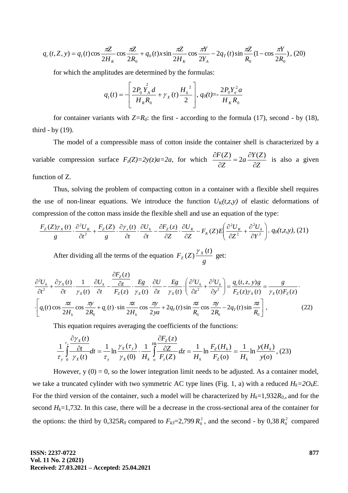$$
q_c(t, Z, y) = q_1(t)\cos\frac{\pi Z}{2H_K}\cos\frac{\pi Z}{2R_0} + q_0(t)x\sin\frac{\pi Z}{2H_K}\cos\frac{\pi Y}{2Y_A} - 2q_T(t)\sin\frac{\pi Z}{R_0}(1-\cos\frac{\pi Y}{2R_0}), (20)
$$

for which the amplitudes are determined by the formulas:

$$
q_1(t) = -\left[\frac{2P_0 Y_A^2 d}{H_R R_0} + \gamma_X(t) \frac{H_k^2}{2}\right], q_0(t) = -\frac{2P_0 Y_a^2 a}{H_K R_0}
$$

for container variants with  $Z=R_0$ : the first - according to the formula (17), second - by (18), third - by  $(19)$ .

The model of a compressible mass of cotton inside the container shell is characterized by a variable compression surface  $F_z(Z)=2y(z)a=2a$ , for which *Z*  $a\frac{\partial Y(Z)}{\partial Z}$ *Z F Z*  $\widehat{o}$  $=2a\frac{\partial}{\partial x}$  $\partial$  $\frac{\partial F(Z)}{\partial z} = 2a \frac{\partial Y(Z)}{\partial z}$  is also a given function of Z.

Thus, solving the problem of compacting cotton in a container with a flexible shell requires the use of non-linear equations. We introduce the function  $U_K(t,z,y)$  of elastic deformations of compression of the cotton mass inside the flexible shell and use an equation of the type:

$$
\frac{F_z(Z)\gamma_x(t)}{g} \cdot \frac{\partial^2 U_x}{\partial t^2} + \frac{F_z(Z)}{g} \cdot \frac{\partial \gamma_x(t)}{\partial t} \cdot \frac{\partial U_k}{\partial t} - \frac{\partial F_z(z)}{\partial Z} \cdot \frac{\partial U_x}{\partial Z} - F_k(Z)E\left(\frac{\partial^2 U_x}{\partial Z^2} + \frac{\partial^2 U_k}{\partial Y^2}\right) \cdot q_0(t, z, y), (21)
$$

After dividing all the terms of the equation *g t*  $F_{Z}(Z) \frac{Y_{X}}{Y}$ *Z*  $(t)$  $(Z) \frac{\gamma_X(t)}{\gamma_E(t)}$  get:

$$
\frac{\partial^2 U_k}{\partial t^2} + \frac{\partial \gamma_x(t)}{\partial t} \cdot \frac{1}{\gamma_x(t)} \cdot \frac{\partial U_k}{\partial t} - \frac{\frac{\partial F_z(z)}{\partial z}}{F_z(z)} \cdot \frac{Eg}{\gamma_x(t)} \cdot \frac{\partial U}{\partial z} - \frac{Eg}{\gamma_x(t)} \cdot \left(\frac{\partial^2 U_k}{\partial z^2} + \frac{\partial^2 U_k}{\partial y^2}\right) = \frac{q_c(t, z, y)g}{F_z(z)\gamma_x(t)} = \frac{g}{\gamma_x(t)F_z(z)}.
$$
\n
$$
\cdot \left[q_1(t)\cos\frac{\pi z}{2H_k}\cos\frac{\pi y}{2R_0} + q_c(t)\cdot\sin\frac{\pi z}{2H_k}\cos\frac{\pi y}{2ya} + 2q_r(t)\sin\frac{\pi z}{R_0}\cos\frac{\pi y}{2R_0} - 2q_r(t)\sin\frac{\pi z}{R_0}\right],
$$
\n(22)

This equation requires averaging the coefficients of the functions:

$$
\frac{1}{\tau_y} \int_{0}^{\tau_y} \frac{\partial \gamma_x(t)}{\partial \gamma_x(t)} dt = \frac{1}{\tau_y} \ln \frac{\gamma_x(\tau_y)}{\gamma_x(0)} \cdot \frac{1}{H_k} \int_{0}^{H_k} \frac{\partial F_z(z)}{\partial \gamma_z(z)} dz = \frac{1}{H_k} \ln \frac{F_z(H_k)}{F_z(0)} = \frac{1}{H_k} \ln \frac{y(H_k)}{y(0)},
$$
(23)

However,  $y(0) = 0$ , so the lower integration limit needs to be adjusted. As a container model, we take a truncated cylinder with two symmetric AC type lines (Fig. 1, a) with a reduced  $H_k = 2O_kE$ . For the third version of the container, such a model will be characterized by  $H_k = 1,932R_0$ , and for the second  $H_k$ =1,732. In this case, there will be a decrease in the cross-sectional area of the container for the options: the third by  $0,325R_0$  compared to  $F_{k3}=2,799 R_0^2$ , and the second - by  $0,38 R_0^2$  compared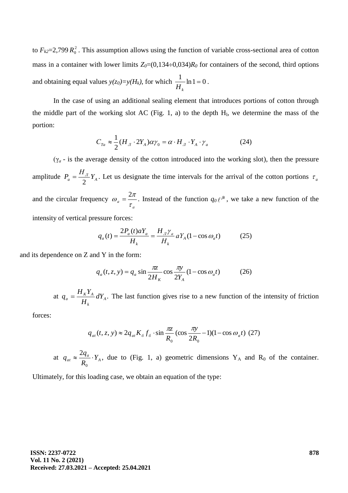to  $F_{k2}=2,799 R_0^2$ . This assumption allows using the function of variable cross-sectional area of cotton mass in a container with lower limits  $Z_0=(0,134\div0,034)R_0$  for containers of the second, third options and obtaining equal values  $y(z_0)=y(H_k)$ , for which  $\frac{1}{\sigma} \ln 1 = 0$ *Hk* .

In the case of using an additional sealing element that introduces portions of cotton through the middle part of the working slot AC (Fig. 1, a) to the depth  $H<sub>1</sub>$ , we determine the mass of the portion:

$$
C_{Ta} \approx \frac{1}{2} (H_{\pi} \cdot 2Y_A) \alpha \gamma_0 = \alpha \cdot H_{\pi} \cdot Y_A \cdot \gamma_a \tag{24}
$$

( $\gamma_a$  - is the average density of the cotton introduced into the working slot), then the pressure amplitude  $P_a = \frac{H_J}{2} Y_A$ 2  $=\frac{H_{\eta}}{2}Y_{A}$ . Let us designate the time intervals for the arrival of the cotton portions  $\tau_{a}$ and the circular frequency *а а* —  $\tau$  $\omega_a = \frac{2\pi}{a}$ . Instead of the function  $q_0 \ell^{\beta t}$ , we take a new function of the intensity of vertical pressure forces:

$$
q_a(t) = \frac{2P_a(t)aY_a}{H_k} = \frac{H_{\pi}\gamma_a}{H_k} aY_A(1 - \cos\omega_a t)
$$
 (25)

and its dependence on Z and Y in the form:

$$
q_a(t, z, y) = q_a \sin \frac{\pi z}{2H_K} \cos \frac{\pi y}{2Y_A} (1 - \cos \omega_a t)
$$
 (26)

at  $q_a = \frac{H_K L_A}{H} dY_A$ . *k*  $a = \frac{H_K I_A}{H_k} dY$  $q_a = \frac{H_K Y_A}{I} dY_A$ . The last function gives rise to a new function of the intensity of friction

forces:

$$
q_{at}(t, z, y) \approx 2q_{at}K_{\delta}f_{\delta} \cdot \sin \frac{\pi z}{R_0} (\cos \frac{\pi y}{2R_0} - 1)(1 - \cos \omega_a t) (27)
$$

at  $q_{at} \approx \frac{Zq_a}{R} \cdot Y_A$  $a_t \approx \frac{2q_a}{R_0} \cdot Y$  $q_{at} \approx \frac{2q_a}{R}$ .  $\mathbf{0}$ 2 , due to (Fig. 1, a) geometric dimensions  $Y_A$  and  $R_0$  of the container.

Ultimately, for this loading case, we obtain an equation of the type: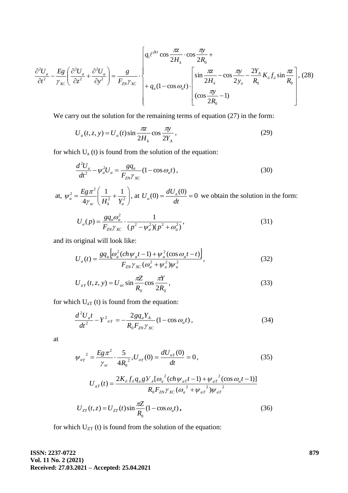$$
\frac{\partial^2 U_a}{\partial t^2} - \frac{E_g}{\gamma_{xc}} \left( \frac{\partial^2 U_a}{\partial z^2} + \frac{\partial^2 U_a}{\partial y^2} \right) = \frac{g}{F_{ZN}\gamma_{xc}} \cdot \left\{ q_1 e^{\beta ct} \cos \frac{\pi z}{2H_k} \cdot \cos \frac{\pi y}{2R_0} + \frac{1}{2H_k} \cos \frac{\pi z}{2H_k} \right\} + q_a (1 - \cos \omega_a t) \cdot \left[ \sin \frac{\pi z}{2H_k} - \cos \frac{\pi y}{2y_a} - \frac{2Y_A}{R_0} K_0 f_0 \sin \frac{\pi z}{R_0} \right], (28)
$$

We carry out the solution for the remaining terms of equation  $(27)$  in the form:

$$
U_a(t, z, y) = U_a(t) \sin \frac{\pi z}{2H_k} \cos \frac{\pi y}{2Y_A},
$$
\n(29)

for which  $U_a$  (t) is found from the solution of the equation:

$$
\frac{d^2U_a}{dt^2} - \psi_a^2 U_a = \frac{gq_a}{F_{ZN}\gamma_{XC}} (1 - \cos\omega_a t),\tag{30}
$$

at,  $\psi_a^2 = \frac{E g \lambda}{4 \nu} \left| \frac{1}{H^2} + \frac{1}{V^2} \right|$ J  $\setminus$  $\overline{\phantom{a}}$  $\setminus$ ſ  $=\frac{E g \lambda}{4 \nu}\left| \frac{1}{H^2} + \frac{1}{V^2} \right|$  $\frac{1}{2}$   $Eg\pi^2$   $\left( \begin{array}{cc} 1 & 1 \end{array} \right)$  $a = 4 \gamma_{xc} \left( H_k^2 \right) + Y_a^2$ *Eg* ŀγ  $\psi_a^2 = \frac{E g \pi^2}{4} \left( \frac{1}{2} + \frac{1}{2} \right)$ , at  $U_a(0) = \frac{dU_a(0)}{4} = 0$ *dt*  $U_a(0) = \frac{dU_a(0)}{dE} = 0$  we obtain the solution in the form:

$$
U_a(p) = \frac{g q_a \omega_a^2}{F_{ZN}\gamma_{XC}} \cdot \frac{1}{(p^2 - \psi_a^2)(p^2 + \omega_a^2)},
$$
\n(31)

and its original will look like:

$$
U_{a}(t) = \frac{gq_{a}\left[\omega_{a}^{2}(ch\psi_{a}t-1) + \psi_{a}^{2}(cos\omega_{a}t-t)\right]}{F_{ZN}\gamma_{XC}(\omega_{a}^{2} + \psi_{a}^{2})\psi_{a}^{2}},
$$
\n(32)

$$
U_{aT}(t, z, y) = U_{at} \sin \frac{\pi Z}{R_0} \cos \frac{\pi Y}{2R_0},
$$
\n(33)

for which  $U_{aT}$  (t) is found from the equation:

$$
\frac{d^2 U_a t}{dt^2} - Y^2{}_{aT} = -\frac{2g q_a Y_A}{R_0 F_{ZN} \gamma_{XC}} (1 - \cos \omega_a t) ,
$$
\n(34)

at

$$
\psi_{aT}^{2} = \frac{Eg\pi^{2}}{\gamma_{xc}} \cdot \frac{5}{4R_{0}^{2}}, U_{aT}(0) = \frac{dU_{aT}(0)}{dt} = 0,
$$
\n(35)

$$
U_{aT}(t) = \frac{2K_{\delta}f_{\delta}q_{a}gV_{A}[\omega_{a}^{2}(ch\psi_{aT}t-1)+\psi_{aT}^{2}(\cos\omega_{a}t-1)]}{R_{0}F_{ZN}\gamma_{XC}(\omega_{a}^{2}+\psi_{aT}^{2})\psi_{aT}^{2}}
$$

$$
U_{ZT}(t, z) = U_{ZT}(t) \sin \frac{\pi Z}{R_0} (1 - \cos \omega_a t),
$$
\n(36)

for which  $U_{ZT}$  (t) is found from the solution of the equation:

**ISSN: 2237-0722 Vol. 11 No. 2 (2021) Received: 27.03.2021 – Accepted: 25.04.2021**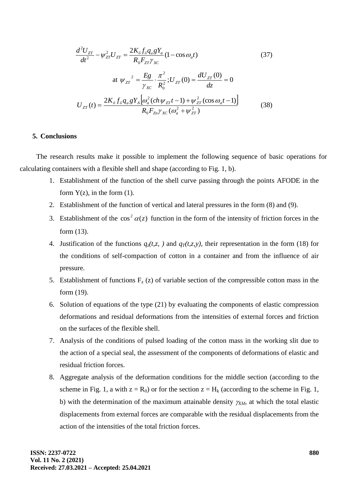$$
\frac{d^2 U_{ZT}}{dt^2} - \psi_{ZT}^2 U_{ZT} = \frac{2K_\delta f_\delta q_a g Y_a}{R_0 F_{ZT} \gamma_{XC}} (1 - \cos \omega_a t)
$$
(37)  

$$
\text{at } \psi_{ZT}^2 = \frac{E g}{\gamma_{XC}} \cdot \frac{\pi^2}{R_0^2}; U_{ZT}(0) = \frac{dU_{ZT}(0)}{dz} = 0
$$

$$
U_{ZT}(t) = \frac{2K_\delta f_\delta q_a g Y_A \left[ \omega_a^2 (ch \psi_{ZT} t - 1) + \psi_{ZT}^2 (\cos \omega_a t - 1) \right]}{R_0 F_{Zn} \gamma_{XC} (\omega_a^2 + \psi_{ZT}^2)}
$$
(38)

#### **5. Conclusions**

The research results make it possible to implement the following sequence of basic operations for calculating containers with a flexible shell and shape (according to Fig. 1, b).

- 1. Establishment of the function of the shell curve passing through the points AFODE in the form  $Y(z)$ , in the form  $(1)$ .
- 2. Establishment of the function of vertical and lateral pressures in the form (8) and (9).
- 3. Establishment of the  $\cos^2 \alpha(z)$  function in the form of the intensity of friction forces in the form (13).
- 4. Justification of the functions  $q_z(t, z, t)$  and  $q_T(t, z, y)$ , their representation in the form (18) for the conditions of self-compaction of cotton in a container and from the influence of air pressure.
- 5. Establishment of functions  $F_z(z)$  of variable section of the compressible cotton mass in the form (19).
- 6. Solution of equations of the type (21) by evaluating the components of elastic compression deformations and residual deformations from the intensities of external forces and friction on the surfaces of the flexible shell.
- 7. Analysis of the conditions of pulsed loading of the cotton mass in the working slit due to the action of a special seal, the assessment of the components of deformations of elastic and residual friction forces.
- 8. Aggregate analysis of the deformation conditions for the middle section (according to the scheme in Fig. 1, a with  $z = R_0$ ) or for the section  $z = H_k$  (according to the scheme in Fig. 1, b) with the determination of the maximum attainable density  $\gamma_{X,M}$ , at which the total elastic displacements from external forces are comparable with the residual displacements from the action of the intensities of the total friction forces.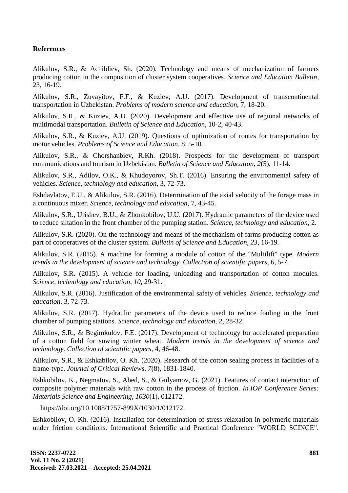# **References**

Alikulov, S.R., & Achildiev, Sh. (2020). Technology and means of mechanization of farmers producing cotton in the composition of cluster system cooperatives. *Science and Education Bulletin*, 23, 16-19.

Alikulov, S.R., Zuvayitov, F.F., & Kuziev, A.U. (2017). Development of transcontinental transportation in Uzbekistan. *Problems of modern science and education*, 7, 18-20.

Alikulov, S.R., & Kuziev, A.U. (2020). Development and effective use of regional networks of multimodal transportation. *Bulletin of Science and Education*, 10-2, 40-43.

Alikulov, S.R., & Kuziev, A.U. (2019). Questions of optimization of routes for transportation by motor vehicles. *Problems of Science and Education*, 8, 5-10.

Alikulov, S.R., & Chorshanbiev, R.Kh. (2018). Prospects for the development of transport communications and tourism in Uzbekistan. *Bulletin of Science and Education*, *2*(5), 11-14.

Alikulov, S.R., Adilov, O.K., & Khudoyorov, Sh.T. (2016). Ensuring the environmental safety of vehicles. *Science, technology and education*, 3, 72-73.

Eshdavlatov, E.U., & Alikulov, S.R. (2016). Determination of the axial velocity of the forage mass in a continuous mixer. *Science, technology and education*, 7, 43-45.

Alikulov, S.R., Urishev, B.U., & Zhonkobilov, U.U. (2017). Hydraulic parameters of the device used to reduce siltation in the front chamber of the pumping station. *Science, technology and education*, 2.

Alikulov, S.R. (2020). On the technology and means of the mechanism of farms producing cotton as part of cooperatives of the cluster system. *Bulletin of Science and Education*, *23*, 16-19.

Alikulov, S.R. (2015). A machine for forming a module of cotton of the "Multilift" type. *Modern trends in the development of science and technology. Collection of scientific papers*, 6, 5-7.

Alikulov, S.R. (2015). A vehicle for loading, unloading and transportation of cotton modules. *Science, technology and education, 10*, 29-31.

Alikulov, S.R. (2016). Justification of the environmental safety of vehicles. *Science, technology and education,* 3, 72-73.

Alikulov, S.R. (2017). Hydraulic parameters of the device used to reduce fouling in the front chamber of pumping stations. *Science, technology and education,* 2, 28-32.

Alikulov, S.R., & Begimkulov, F.E. (2017). Development of technology for accelerated preparation of a cotton field for sowing winter wheat. *Modern trends in the development of science and technology. Collection of scientific papers,* 4, 46-48.

Alikulov, S.R., & Eshkabilov, O. Kh. (2020). [Research of the cotton sealing process in facilities of a](https://scholar.google.com/scholar?oi=bibs&cluster=369155530044178280&btnI=1&hl=ru)  [frame-type.](https://scholar.google.com/scholar?oi=bibs&cluster=369155530044178280&btnI=1&hl=ru) *Journal of Critical Reviews, 7*(8), 1831-1840.

Eshkobilov, K., Negmatov, S., Abed, S., & Gulyamov, G. (2021). Features of contact interaction of composite polymer materials with raw cotton in the process of friction. *In IOP Conference Series: Materials Science and Engineering*, *1030*(1), 012172.

https://doi.org/10.1088/1757-899X/1030/1/012172.

Eshkobilov, O. Kh. (2016). Installation for determination of stress relaxation in polymeric materials under friction conditions. International Scientific and Practical Conference "WORLD SCINCE".